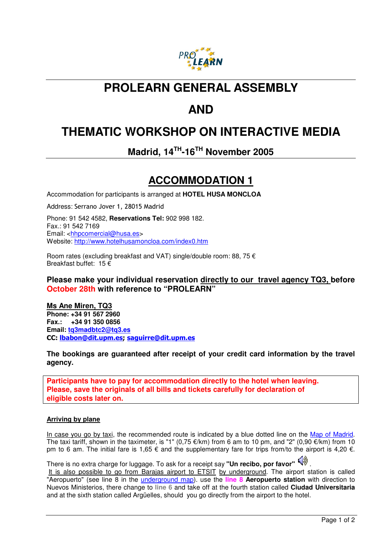

## **PROLEARN GENERAL ASSEMBLY**

# **AND**

# **THEMATIC WORKSHOP ON INTERACTIVE MEDIA**

**Madrid, 14TH-16TH November 2005** 

## **ACCOMMODATION 1**

Accommodation for participants is arranged at **HOTEL HUSA MONCLOA**

Address: Serrano Jover 1, 28015 Madrid

Phone: 91 542 4582, **Reservations Tel:** 902 998 182. Fax.: 91 542 7169 Email: <hhpcomercial@husa.es> Website: http://www.hotelhusamoncloa.com/index0.htm

Room rates (excluding breakfast and VAT) single/double room: 88, 75 € Breakfast buffet: 15  $\epsilon$ 

### **Please make your individual reservation directly to our travel agency TQ3, before October 28th with reference to "PROLEARN"**

**Ms Ane Miren, TQ3 Phone: +34 91 567 2960 Fax.: +34 91 350 0856 Email: tq3madbtc2@tq3.es**  CC: lbabon@dit.upm.es; saguirre@dit.upm.es

**The bookings are guaranteed after receipt of your credit card information by the travel agency.** 

**Participants have to pay for accommodation directly to the hotel when leaving. Please, save the originals of all bills and tickets carefully for declaration of eligible costs later on.**

### **Arriving by plane**

In case you go by taxi, the recommended route is indicated by a blue dotted line on the Map of Madrid. The taxi tariff, shown in the taximeter, is "1" (0,75  $\epsilon$ /km) from 6 am to 10 pm, and "2" (0,90  $\epsilon$ /km) from 10 pm to 6 am. The initial fare is 1,65  $\epsilon$  and the supplementary fare for trips from/to the airport is 4,20  $\epsilon$ .

There is no extra charge for luggage. To ask for a receipt say "Un recibo, por favor"  $\left(\sqrt[3]{y}\right)$ . It is also possible to go from Barajas airport to ETSIT by underground. The airport station is called "Aeropuerto" (see line 8 in the underground map). use the **line 8 Aeropuerto station** with direction to Nuevos Ministerios, there change to **line 6** and take off at the fourth station called **Ciudad Universitaria** and at the sixth station called Argüelles, should you go directly from the airport to the hotel.